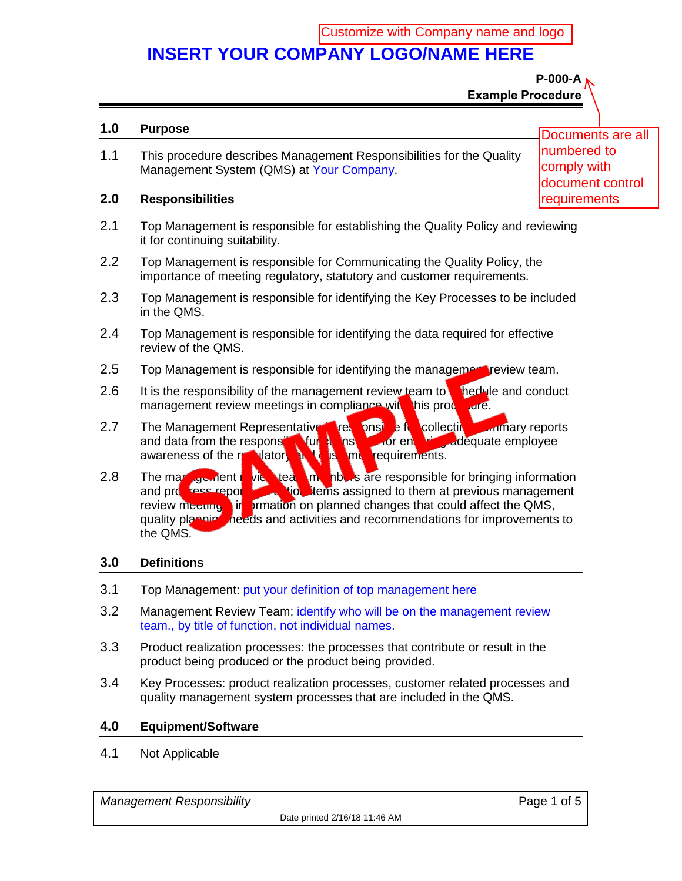Customize with Company name and logo

# **INSERT YOUR COMPANY LOGO/NAME HERE**

**P-000-A Example Procedure**

#### **1.0 Purpose** 1.1 This procedure describes Management Responsibilities for the Quality Management System (QMS) at Your Company. **2.0 Responsibilities** Documents are all numbered to comply with document control **requirements**

- 2.1 Top Management is responsible for establishing the Quality Policy and reviewing it for continuing suitability.
- 2.2 Top Management is responsible for Communicating the Quality Policy, the importance of meeting regulatory, statutory and customer requirements.
- 2.3 Top Management is responsible for identifying the Key Processes to be included in the QMS.
- 2.4 Top Management is responsible for identifying the data required for effective review of the QMS.
- 2.5 Top Management is responsible for identifying the management review team.
- 2.6 It is the responsibility of the management review team to shedule and conduct management review meetings in compliance with this procedure.
- 2.7 The Management Representative in responsible for collecting summary reports and data from the responsible functions and for entity adequate employee awareness of the realitators and is a metaawareness of the regulatory and customer requirements.
- 2.8 The management review team members are responsible for bringing information<br>and provides reporting the station of them at previous management tion items assigned to them at previous management review meetings, in primation on planned changes that could affect the QMS, quality planning needs and activities and recommendations for improvements to the QMS.

### **3.0 Definitions**

- 3.1 Top Management: put your definition of top management here
- 3.2 Management Review Team: identify who will be on the management review team., by title of function, not individual names.
- 3.3 Product realization processes: the processes that contribute or result in the product being produced or the product being provided.
- 3.4 Key Processes: product realization processes, customer related processes and quality management system processes that are included in the QMS.

#### **4.0 Equipment/Software**

4.1 Not Applicable

*Management Responsibility* **Page 1 of 5** and *Page 1 of 5*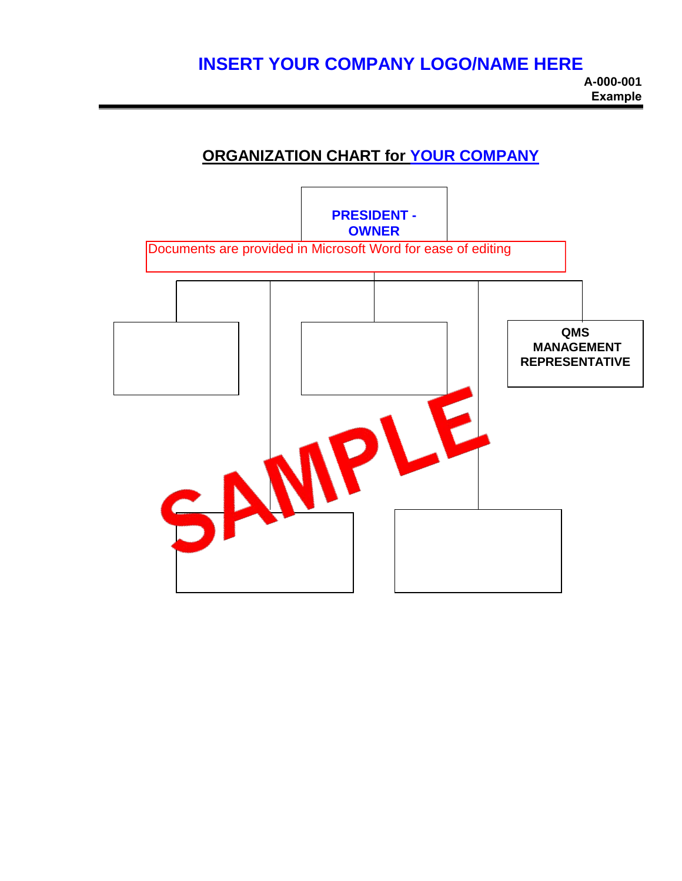## **INSERT YOUR COMPANY LOGO/NAME HERE**

### **ORGANIZATION CHART for YOUR COMPANY**

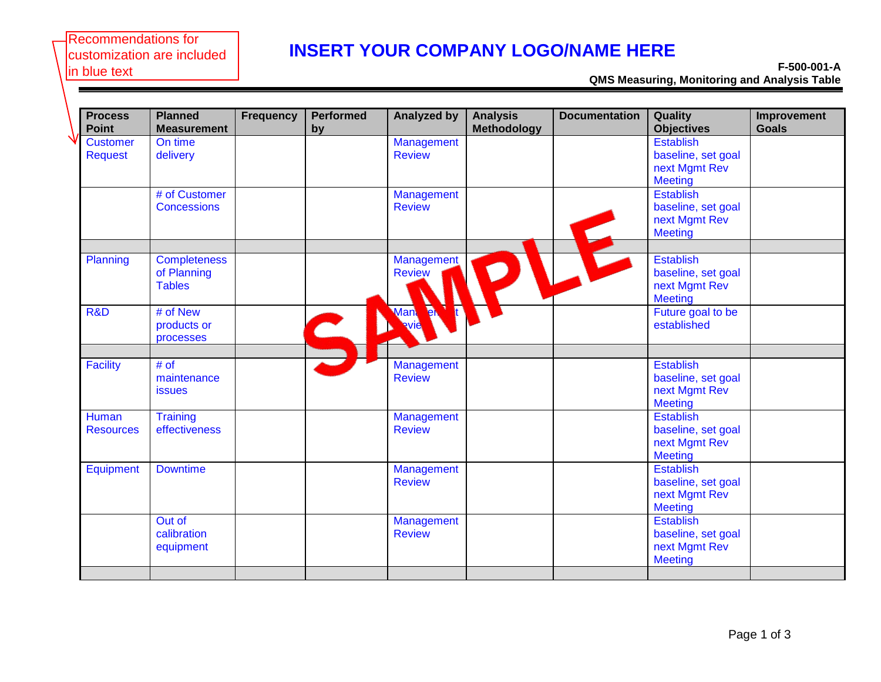#### Recommendations for customization are included in blue text

# **INSERT YOUR COMPANY LOGO/NAME HERE**

**F-500-001-A QMS Measuring, Monitoring and Analysis Table**

| <b>Process</b><br><b>Point</b>    | <b>Planned</b><br><b>Measurement</b>                | <b>Frequency</b> | <b>Performed</b><br>by   | <b>Analyzed by</b>          | <b>Analysis</b><br><b>Methodology</b> | <b>Documentation</b> | Quality<br><b>Objectives</b>                                              | Improvement<br><b>Goals</b> |
|-----------------------------------|-----------------------------------------------------|------------------|--------------------------|-----------------------------|---------------------------------------|----------------------|---------------------------------------------------------------------------|-----------------------------|
| <b>Customer</b><br><b>Request</b> | On time<br>delivery                                 |                  |                          | Management<br><b>Review</b> |                                       |                      | <b>Establish</b><br>baseline, set goal<br>next Mgmt Rev<br><b>Meeting</b> |                             |
|                                   | # of Customer<br><b>Concessions</b>                 |                  |                          | Management<br><b>Review</b> |                                       |                      | <b>Establish</b><br>baseline, set goal<br>next Mgmt Rev<br><b>Meeting</b> |                             |
| Planning                          | <b>Completeness</b><br>of Planning<br><b>Tables</b> |                  |                          | Management<br><b>Review</b> |                                       |                      | <b>Establish</b><br>baseline, set goal<br>next Mgmt Rev<br><b>Meeting</b> |                             |
| R&D                               | # of New<br>products or<br>processes                |                  | $\overline{\phantom{a}}$ | <b>Man</b> en               |                                       |                      | Future goal to be<br>established                                          |                             |
| <b>Facility</b>                   | # of<br>maintenance<br><b>issues</b>                |                  |                          | Management<br><b>Review</b> |                                       |                      | <b>Establish</b><br>baseline, set goal<br>next Mgmt Rev<br><b>Meeting</b> |                             |
| <b>Human</b><br><b>Resources</b>  | <b>Training</b><br>effectiveness                    |                  |                          | Management<br><b>Review</b> |                                       |                      | <b>Establish</b><br>baseline, set goal<br>next Mgmt Rev<br><b>Meeting</b> |                             |
| <b>Equipment</b>                  | <b>Downtime</b>                                     |                  |                          | Management<br><b>Review</b> |                                       |                      | <b>Establish</b><br>baseline, set goal<br>next Mgmt Rev<br><b>Meeting</b> |                             |
|                                   | Out of<br>calibration<br>equipment                  |                  |                          | Management<br><b>Review</b> |                                       |                      | <b>Establish</b><br>baseline, set goal<br>next Mgmt Rev<br><b>Meeting</b> |                             |